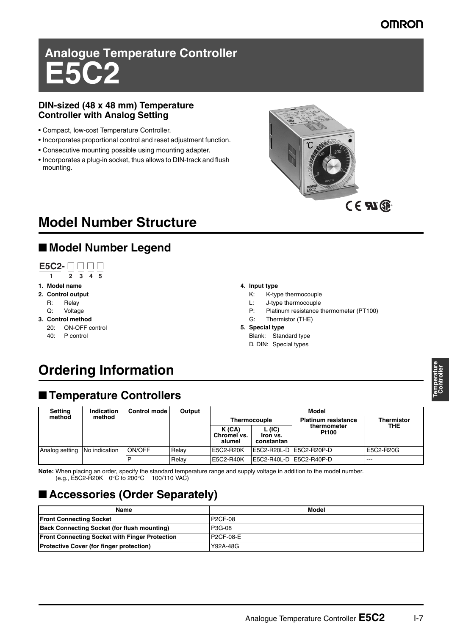### **OMRON**

# **Analogue Temperature Controller E5C2**

#### **DIN-sized (48 x 48 mm) Temperature Controller with Analog Setting**

- Compact, low-cost Temperature Controller.
- Incorporates proportional control and reset adjustment function.
- Consecutive mounting possible using mounting adapter.
- Incorporates a plug-in socket, thus allows to DIN-track and flush mounting.



## CE **AI** ®

## **Model Number Structure**

## ■ **Model Number Legend**



#### **1. Model name**

- **2. Control output**
	- R: Relay
	- Q: Voltage
- **3. Control method**
	- 20: ON-OFF control
	- 40: P control

#### **4. Input type**

- K: K-type thermocouple
- L: J-type thermocouple
- P: Platinum resistance thermometer (PT100)
- G: Thermistor (THE) **5. Special type**
	- Blank: Standard type
	- D, DIN: Special types

## **Ordering Information**

### ■ **Temperature Controllers**

| <b>Setting</b>               | Indication       | <b>Control mode</b> | Output | Model                          |                                  |                             |                   |  |
|------------------------------|------------------|---------------------|--------|--------------------------------|----------------------------------|-----------------------------|-------------------|--|
|                              | method<br>method |                     |        | <b>Thermocouple</b>            |                                  | <b>Platinum resistance</b>  | <b>Thermistor</b> |  |
|                              |                  |                     |        | K(CA)<br>Chromel vs.<br>alumel | L (IC)<br>Iron vs.<br>constantan | thermometer<br><b>Pt100</b> | THE               |  |
| Analog setting No indication |                  | ON/OFF              | Relav  | E5C2-R20K                      |                                  | E5C2-R20L-D E5C2-R20P-D     | E5C2-R20G         |  |
|                              |                  | D                   | Relav  | E5C2-R40K                      |                                  | IE5C2-R40L-D IE5C2-R40P-D   | $- - -$           |  |

**Note:** When placing an order, specify the standard temperature range and supply voltage in addition to the model number. (e.g., E5C2-R20K  $0^{\circ}$ C to 200°C 100/110 VAC)

## ■ **Accessories (Order Separately)**

| Name                                                  | Model          |
|-------------------------------------------------------|----------------|
| <b>Front Connecting Socket</b>                        | <b>P2CF-08</b> |
| <b>Back Connecting Socket (for flush mounting)</b>    | P3G-08         |
| <b>Front Connecting Socket with Finger Protection</b> | P2CF-08-E      |
| <b>Protective Cover (for finger protection)</b>       | Y92A-48G       |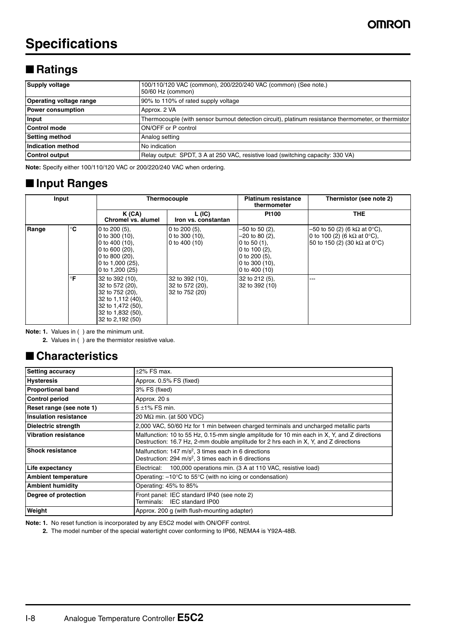## **Specifications**

## ■ **Ratings**

| <b>Supply voltage</b>          | 100/110/120 VAC (common), 200/220/240 VAC (common) (See note.)<br>50/60 Hz (common)                  |  |  |  |  |
|--------------------------------|------------------------------------------------------------------------------------------------------|--|--|--|--|
| <b>Operating voltage range</b> | 90% to 110% of rated supply voltage                                                                  |  |  |  |  |
| <b>Power consumption</b>       | Approx. 2 VA                                                                                         |  |  |  |  |
| Input                          | Thermocouple (with sensor burnout detection circuit), platinum resistance thermometer, or thermistor |  |  |  |  |
| <b>Control mode</b>            | ON/OFF or P control                                                                                  |  |  |  |  |
| <b>Setting method</b>          | Analog setting                                                                                       |  |  |  |  |
| Indication method              | No indication                                                                                        |  |  |  |  |
| <b>Control output</b>          | Relay output: SPDT, 3 A at 250 VAC, resistive load (switching capacity: 330 VA)                      |  |  |  |  |

**Note:** Specify either 100/110/120 VAC or 200/220/240 VAC when ordering.

### ■ **Input Ranges**

| Input |    | Thermocouple                                                                                                                               |                                                         | <b>Platinum resistance</b><br>thermometer                                                                                            | Thermistor (see note 2)                                                                             |  |
|-------|----|--------------------------------------------------------------------------------------------------------------------------------------------|---------------------------------------------------------|--------------------------------------------------------------------------------------------------------------------------------------|-----------------------------------------------------------------------------------------------------|--|
|       |    | K(CA)<br>Chromel vs. alumel                                                                                                                | L (IC)<br>Iron vs. constantan                           | <b>Pt100</b>                                                                                                                         | THE.                                                                                                |  |
| Range | °C | 0 to $200(5)$ .<br>0 to 300 $(10)$ ,<br>0 to 400 $(10)$ ,<br>0 to $600(20)$ ,<br>0 to 800 $(20)$ ,<br>0 to 1,000 (25),<br>0 to $1,200(25)$ | 0 to $200(5)$ ,<br>0 to 300 $(10)$ ,<br>0 to 400 $(10)$ | $-50$ to 50 (2),<br>$-20$ to 80 (2),<br>0 to 50 $(1)$ ,<br>0 to $100(2)$ ,<br>0 to $200(5)$ ,<br>0 to 300 $(10)$ ,<br>0 to $400(10)$ | –50 to 50 (2) (6 kΩ at 0°C),<br>0 to 100 (2) (6 kΩ at 0°C),<br>50 to 150 (2) (30 k $\Omega$ at 0°C) |  |
|       | °F | 32 to 392 (10).<br>32 to 572 (20),<br>32 to 752 (20).<br>32 to 1,112 (40),<br>32 to 1,472 (50),<br>32 to 1,832 (50),<br>32 to 2,192 (50)   | 32 to 392 (10),<br>32 to 572 (20),<br>32 to 752 (20)    | 32 to 212 (5),<br>32 to 392 (10)                                                                                                     | ---                                                                                                 |  |

**Note: 1.** Values in ( ) are the minimum unit.

**2.** Values in ( ) are the thermistor resistive value.

### ■ **Characteristics**

| <b>Setting accuracy</b>      | $\pm 2\%$ FS max.                                                                                                                                                                    |  |  |  |  |
|------------------------------|--------------------------------------------------------------------------------------------------------------------------------------------------------------------------------------|--|--|--|--|
| <b>Hysteresis</b>            | Approx. 0.5% FS (fixed)                                                                                                                                                              |  |  |  |  |
| <b>Proportional band</b>     | 3% FS (fixed)                                                                                                                                                                        |  |  |  |  |
| <b>Control period</b>        | Approx. 20 s                                                                                                                                                                         |  |  |  |  |
| Reset range (see note 1)     | $5 + 1\%$ FS min.                                                                                                                                                                    |  |  |  |  |
| <b>Insulation resistance</b> | 20 M $\Omega$ min. (at 500 VDC)                                                                                                                                                      |  |  |  |  |
| <b>Dielectric strength</b>   | 2,000 VAC, 50/60 Hz for 1 min between charged terminals and uncharged metallic parts                                                                                                 |  |  |  |  |
| <b>Vibration resistance</b>  | Malfunction: 10 to 55 Hz, 0.15-mm single amplitude for 10 min each in X, Y, and Z directions<br>Destruction: 16.7 Hz, 2-mm double amplitude for 2 hrs each in X, Y, and Z directions |  |  |  |  |
| <b>Shock resistance</b>      | Malfunction: $147 \text{ m/s}^2$ , 3 times each in 6 directions<br>Destruction: $294 \text{ m/s}^2$ , 3 times each in 6 directions                                                   |  |  |  |  |
| Life expectancy              | 100,000 operations min. (3 A at 110 VAC, resistive load)<br>Electrical:                                                                                                              |  |  |  |  |
| <b>Ambient temperature</b>   | Operating: $-10^{\circ}$ C to 55 $^{\circ}$ C (with no icing or condensation)                                                                                                        |  |  |  |  |
| <b>Ambient humidity</b>      | Operating: 45% to 85%                                                                                                                                                                |  |  |  |  |
| Degree of protection         | Front panel: IEC standard IP40 (see note 2)<br>Terminals: IEC standard IP00                                                                                                          |  |  |  |  |
| Weight                       | Approx. 200 g (with flush-mounting adapter)                                                                                                                                          |  |  |  |  |

**Note: 1.** No reset function is incorporated by any E5C2 model with ON/OFF control.

**2.** The model number of the special watertight cover conforming to IP66, NEMA4 is Y92A-48B.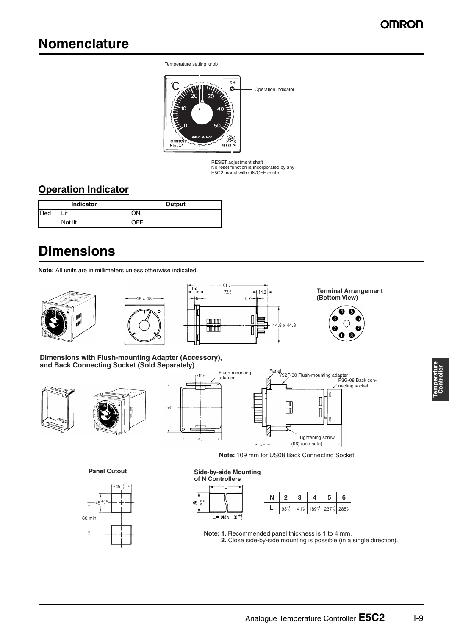## **Nomenclature**



RESET adjustment shaft No reset function is incorporated by any E5C2 model with ON/OFF control.

### **Operation Indicator**

| <b>Indicator</b> |         | Output |  |  |
|------------------|---------|--------|--|--|
| <b>I</b> Red     | Lit     | ON     |  |  |
|                  | Not lit | ℩⊏⊏    |  |  |

## **Dimensions**

**Note:** All units are in millimeters unless otherwise indicated.







**Terminal Arrangement (Bottom View)**



P3G-08 Back connecting socket

I۵

n

**Dimensions with Flush-mounting Adapter (Accessory), and Back Connecting Socket (Sold Separately)**







**Note:** 109 mm for US08 Back Connecting Socket

**Panel Cutout**



**of N Controllers**  $45^{+0.6}_{0}$  $L = (48N - 3)^{+1}_{0}$ 

**Side-by-side Mounting** 

|  |  | $93^{+1}_{0}$ 141 <sup>+1</sup> 189 <sup>+1</sup> 237 <sup>+1</sup> 285 <sup>+1</sup> |  |
|--|--|---------------------------------------------------------------------------------------|--|
|  |  |                                                                                       |  |

**Note: 1.** Recommended panel thickness is 1 to 4 mm. **2.** Close side-by-side mounting is possible (in a single direction).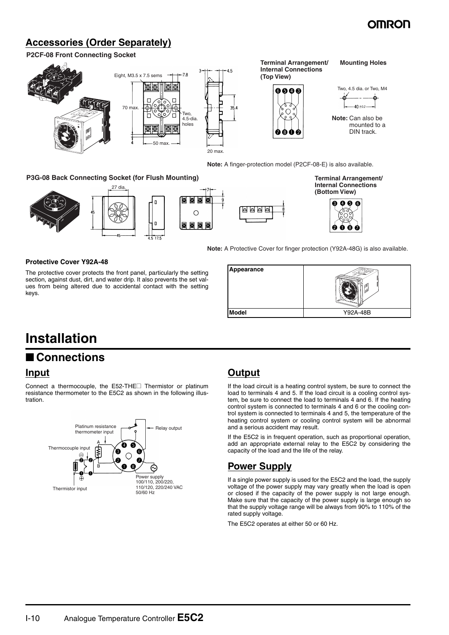### **OMROI**

### **Accessories (Order Separately)**

#### **P2CF-08 Front Connecting Socket**



#### **P3G-08 Back Connecting Socket (for Flush Mounting)**



**Terminal Arrangement/ Internal Connections (Bottom View)**



**Note:** A Protective Cover for finger protection (Y92A-48G) is also available.

#### **Protective Cover Y92A-48**

The protective cover protects the front panel, particularly the setting section, against dust, dirt, and water drip. It also prevents the set values from being altered due to accidental contact with the setting keys.



## **Installation**

### ■ **Connections**

#### **Input**

Connect a thermocouple, the E52-THE@ Thermistor or platinum resistance thermometer to the E5C2 as shown in the following illustration.



### **Output**

d d d

If the load circuit is a heating control system, be sure to connect the load to terminals 4 and 5. If the load circuit is a cooling control system, be sure to connect the load to terminals 4 and 6. If the heating control system is connected to terminals 4 and 6 or the cooling control system is connected to terminals 4 and 5, the temperature of the heating control system or cooling control system will be abnormal and a serious accident may result.

If the E5C2 is in frequent operation, such as proportional operation, add an appropriate external relay to the E5C2 by considering the capacity of the load and the life of the relay.

### **Power Supply**

If a single power supply is used for the E5C2 and the load, the supply voltage of the power supply may vary greatly when the load is open or closed if the capacity of the power supply is not large enough. Make sure that the capacity of the power supply is large enough so that the supply voltage range will be always from 90% to 110% of the rated supply voltage.

The E5C2 operates at either 50 or 60 Hz.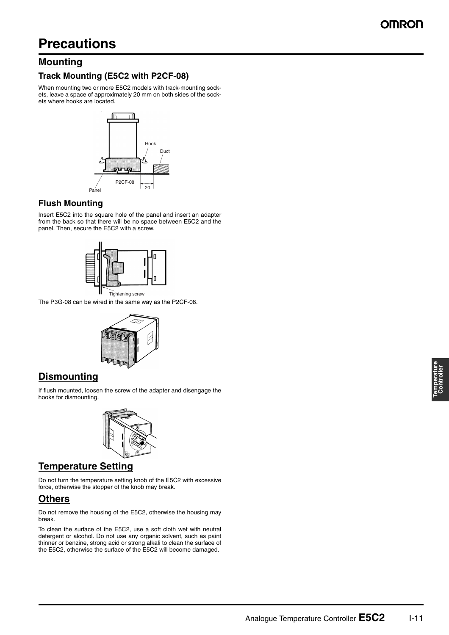#### **Mounting**

#### **Track Mounting (E5C2 with P2CF-08)**

When mounting two or more E5C2 models with track-mounting sockets, leave a space of approximately 20 mm on both sides of the sockets where hooks are located.



#### **Flush Mounting**

Insert E5C2 into the square hole of the panel and insert an adapter from the back so that there will be no space between E5C2 and the panel. Then, secure the E5C2 with a screw.



Tightening screw

The P3G-08 can be wired in the same way as the P2CF-08.



#### **Dismounting**

If flush mounted, loosen the screw of the adapter and disengage the hooks for dismounting.



### **Temperature Setting**

Do not turn the temperature setting knob of the E5C2 with excessive force, otherwise the stopper of the knob may break.

### **Others**

Do not remove the housing of the E5C2, otherwise the housing may break.

To clean the surface of the E5C2, use a soft cloth wet with neutral detergent or alcohol. Do not use any organic solvent, such as paint thinner or benzine, strong acid or strong alkali to clean the surface of the E5C2, otherwise the surface of the E5C2 will become damaged.